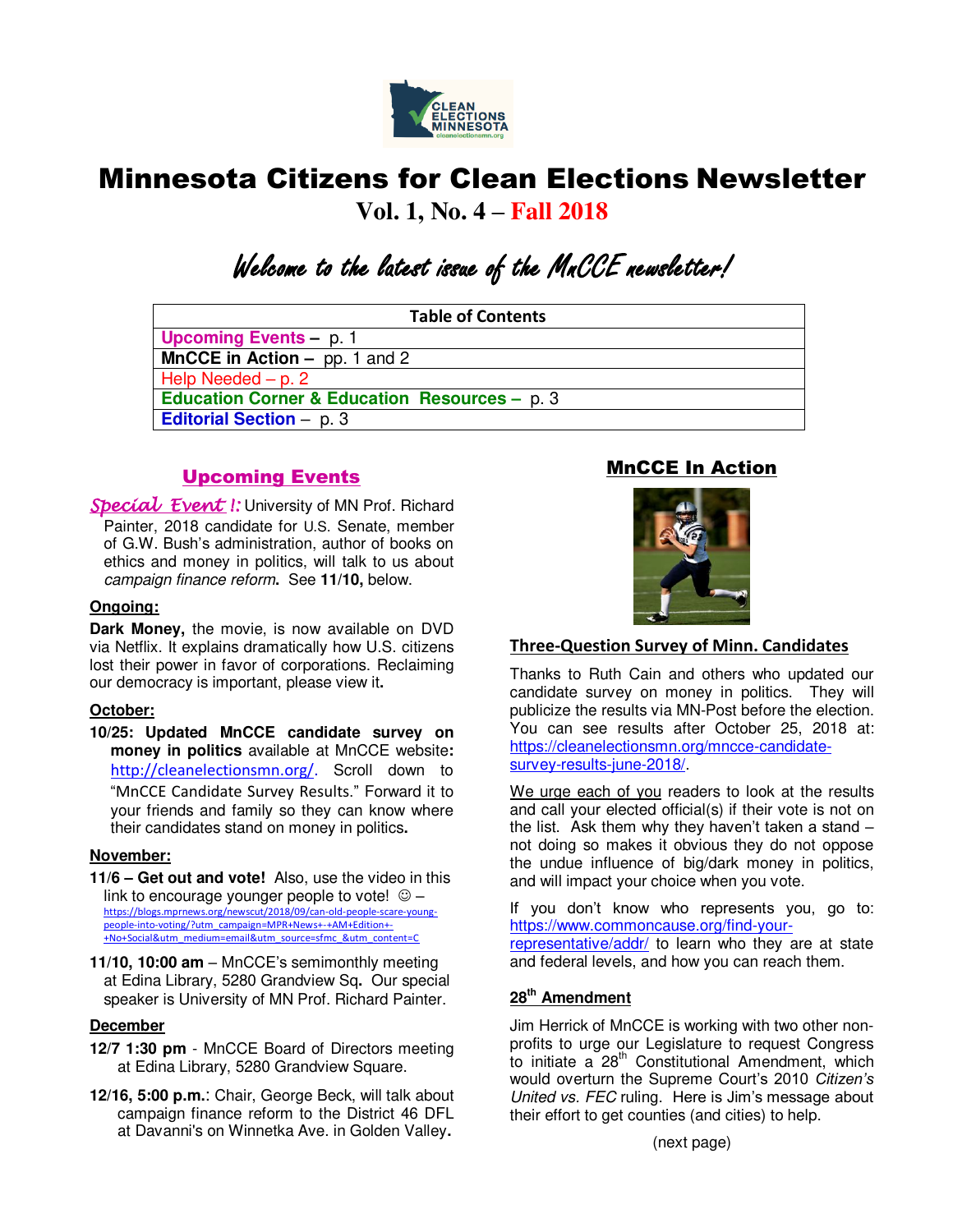

# Minnesota Citizens for Clean Elections Newsletter

**Vol. 1, No. 4 – Fall 2018**

# Welcome to the latest issue of the MnCCE newsletter!

| <b>Table of Contents</b>                                 |
|----------------------------------------------------------|
| <b>Upcoming Events - p. 1</b>                            |
| <b>MnCCE</b> in Action $-$ pp. 1 and 2                   |
| Help Needed $- p. 2$                                     |
| <b>Education Corner &amp; Education Resources - p. 3</b> |
| <b>Editorial Section - p. 3</b>                          |
|                                                          |

# Upcoming Events

Special Event I: University of MN Prof. Richard Painter, 2018 candidate for U.S. Senate, member of G.W. Bush's administration, author of books on ethics and money in politics, will talk to us about *campaign finance reform***.** See **11/10,** below.

## **Ongoing:**

**Dark Money,** the movie, is now available on DVD via Netflix. It explains dramatically how U.S. citizens lost their power in favor of corporations. Reclaiming our democracy is important, please view it**.**

### **October:**

**10/25: Updated MnCCE candidate survey on money in politics** available at MnCCE website**:**  [http://cleanelectionsmn.org/.](http://cleanelectionsmn.org/) Scroll down to "MnCCE Candidate Survey Results." Forward it to your friends and family so they can know where their candidates stand on money in politics**.**

### **November:**

- **11/6 – Get out and vote!** Also, use the video in this link to encourage younger people to vote!  $\circledcirc$  [https://blogs.mprnews.org/newscut/2018/09/can-old-people-scare-young](https://blogs.mprnews.org/newscut/2018/09/can-old-people-scare-young-people-into-voting/?utm_campaign=MPR+News+-+AM+Edition+-+No+Social&utm_medium=email&utm_source=sfmc_&utm_content=C)[people-into-voting/?utm\\_campaign=MPR+News+-+AM+Edition+-](https://blogs.mprnews.org/newscut/2018/09/can-old-people-scare-young-people-into-voting/?utm_campaign=MPR+News+-+AM+Edition+-+No+Social&utm_medium=email&utm_source=sfmc_&utm_content=C) [+No+Social&utm\\_medium=email&utm\\_source=sfmc\\_&utm\\_content=C](https://blogs.mprnews.org/newscut/2018/09/can-old-people-scare-young-people-into-voting/?utm_campaign=MPR+News+-+AM+Edition+-+No+Social&utm_medium=email&utm_source=sfmc_&utm_content=C)
- **11/10, 10:00 am**  MnCCE's semimonthly meeting at Edina Library, 5280 Grandview Sq**.** Our special speaker is University of MN Prof. Richard Painter.

#### **December**

- **12/7 1:30 pm** MnCCE Board of Directors meeting at Edina Library, 5280 Grandview Square.
- **12/16, 5:00 p.m.**: Chair, George Beck, will talk about campaign finance reform to the District 46 DFL at Davanni's on Winnetka Ave. in Golden Valley**.**

# MnCCE In Action



# **Three-Question Survey of Minn. Candidates**

Thanks to Ruth Cain and others who updated our candidate survey on money in politics. They will publicize the results via MN-Post before the election. You can see results after October 25, 2018 at: [https://cleanelectionsmn.org/mncce-candidate](https://cleanelectionsmn.org/mncce-candidate-survey-results-june-2018/)[survey-results-june-2018/.](https://cleanelectionsmn.org/mncce-candidate-survey-results-june-2018/)

We urge each of you readers to look at the results and call your elected official(s) if their vote is not on the list. Ask them why they haven't taken a stand – not doing so makes it obvious they do not oppose the undue influence of big/dark money in politics, and will impact your choice when you vote.

If you don't know who represents you, go to: [https://www.commoncause.org/find-your](https://www.commoncause.org/find-your-representative/addr/)[representative/addr/](https://www.commoncause.org/find-your-representative/addr/) to learn who they are at state and federal levels, and how you can reach them.

# **28th Amendment**

Jim Herrick of MnCCE is working with two other nonprofits to urge our Legislature to request Congress to initiate a 28<sup>th</sup> Constitutional Amendment, which would overturn the Supreme Court's 2010 *Citizen's United vs. FEC* ruling. Here is Jim's message about their effort to get counties (and cities) to help.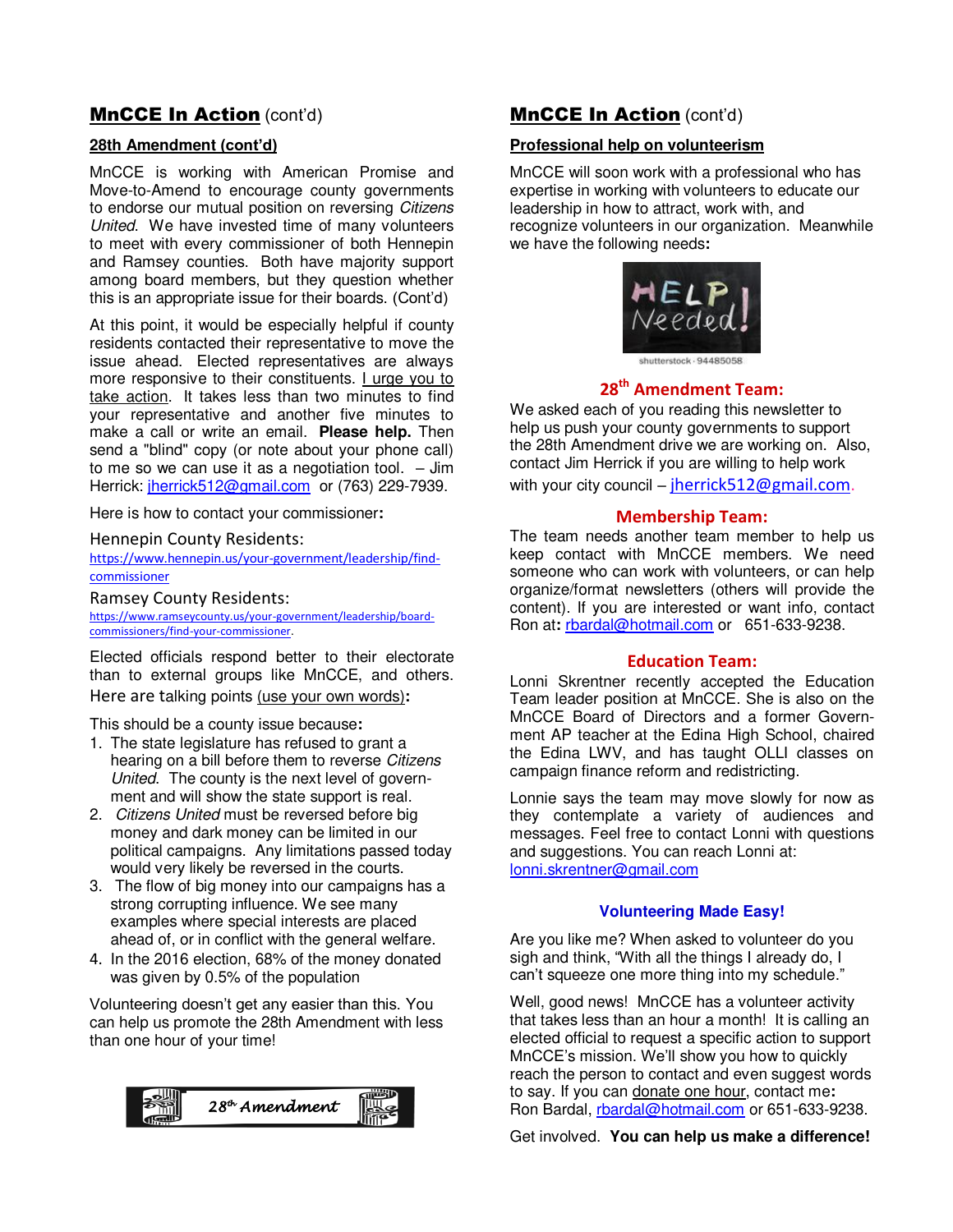# MnCCE In Action (cont'd)

### **28th Amendment (cont'd)**

MnCCE is working with American Promise and Move-to-Amend to encourage county governments to endorse our mutual position on reversing *Citizens United*. We have invested time of many volunteers to meet with every commissioner of both Hennepin and Ramsey counties. Both have majority support among board members, but they question whether this is an appropriate issue for their boards. (Cont'd)

At this point, it would be especially helpful if county residents contacted their representative to move the issue ahead. Elected representatives are always more responsive to their constituents. I urge you to take action. It takes less than two minutes to find your representative and another five minutes to make a call or write an email. **Please help.** Then send a "blind" copy (or note about your phone call) to me so we can use it as a negotiation tool. – Jim Herrick: *jherrick*512@gmail.com or (763) 229-7939.

Here is how to contact your commissioner**:**

Hennepin County Residents:

[https://www.hennepin.us/your-government/leadership/find](https://www.hennepin.us/your-government/leadership/find-commissioner)[commissioner](https://www.hennepin.us/your-government/leadership/find-commissioner)

Ramsey County Residents:

[https://www.ramseycounty.us/your-government/leadership/board](https://www.ramseycounty.us/your-government/leadership/board-commissioners/find-your-commissioner)[commissioners/find-your-commissioner.](https://www.ramseycounty.us/your-government/leadership/board-commissioners/find-your-commissioner)

Elected officials respond better to their electorate than to external groups like MnCCE, and others. Here are talking points (use your own words)**:**

This should be a county issue because**:** 

- 1. The state legislature has refused to grant a hearing on a bill before them to reverse *Citizens United*. The county is the next level of government and will show the state support is real.
- 2. *Citizens United* must be reversed before big money and dark money can be limited in our political campaigns. Any limitations passed today would very likely be reversed in the courts.
- 3. The flow of big money into our campaigns has a strong corrupting influence. We see many examples where special interests are placed ahead of, or in conflict with the general welfare.
- 4. In the 2016 election, 68% of the money donated was given by 0.5% of the population

Volunteering doesn't get any easier than this. You can help us promote the 28th Amendment with less than one hour of your time!



# **MnCCE In Action (cont'd)**

# **Professional help on volunteerism**

MnCCE will soon work with a professional who has expertise in working with volunteers to educate our leadership in how to attract, work with, and recognize volunteers in our organization. Meanwhile we have the following needs**:**



shutterstock - 94485058

# **28th Amendment Team:**

We asked each of you reading this newsletter to help us push your county governments to support the 28th Amendment drive we are working on. Also, contact Jim Herrick if you are willing to help work with your city council – [jherrick512@gmail.com.](mailto:jherrick512@gmail.com)

#### **Membership Team:**

The team needs another team member to help us keep contact with MnCCE members. We need someone who can work with volunteers, or can help organize/format newsletters (others will provide the content). If you are interested or want info, contact Ron at**:** [rbardal@hotmail.com](mailto:rbardal@hotmail.com) or 651-633-9238.

#### **Education Team:**

Lonni Skrentner recently accepted the Education Team leader position at MnCCE. She is also on the MnCCE Board of Directors and a former Government AP teacher at the Edina High School, chaired the Edina LWV, and has taught OLLI classes on campaign finance reform and redistricting.

Lonnie says the team may move slowly for now as they contemplate a variety of audiences and messages. Feel free to contact Lonni with questions and suggestions. You can reach Lonni at: [lonni.skrentner@gmail.com](mailto:lonni.skrentner@gmail.com)

### **Volunteering Made Easy!**

Are you like me? When asked to volunteer do you sigh and think, "With all the things I already do, I can't squeeze one more thing into my schedule."

Well, good news! MnCCE has a volunteer activity that takes less than an hour a month! It is calling an elected official to request a specific action to support MnCCE's mission. We'll show you how to quickly reach the person to contact and even suggest words to say. If you can donate one hour, contact me**:** Ron Bardal, [rbardal@hotmail.com](mailto:rbardal@hotmail.com) or 651-633-9238.

Get involved. **You can help us make a difference!**